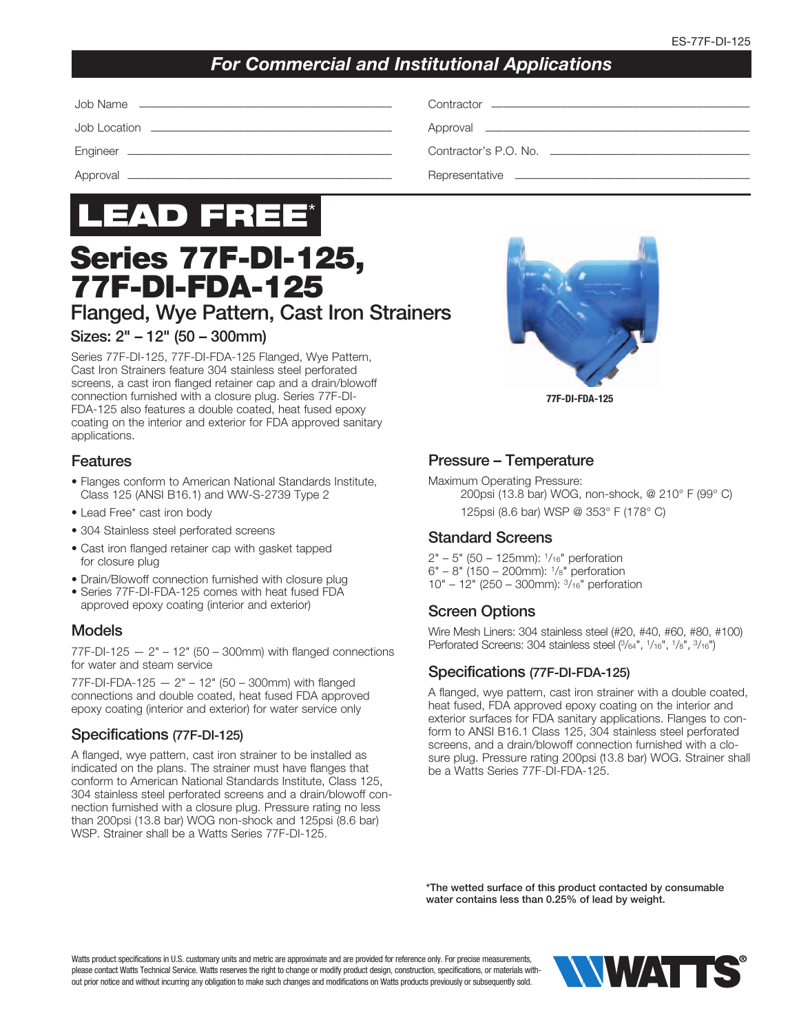## *For Commercial and Institutional Applications*

| Contractor <u>experience</u> and the contractor |
|-------------------------------------------------|
|                                                 |
| Contractor's P.O. No. ____________________      |
| Representative                                  |



# Series 77F-DI-125, 77F-DI-FDA-125

Flanged, Wye Pattern, Cast Iron Strainers

## Sizes: 2" – 12" (50 – 300mm)

Series 77F-DI-125, 77F-DI-FDA-125 Flanged, Wye Pattern, Cast Iron Strainers feature 304 stainless steel perforated screens, a cast iron flanged retainer cap and a drain/blowoff connection furnished with a closure plug. Series 77F-DI-FDA-125 also features a double coated, heat fused epoxy coating on the interior and exterior for FDA approved sanitary applications.

## Features

- Flanges conform to American National Standards Institute, Class 125 (ANSI B16.1) and WW-S-2739 Type 2
- Lead Free\* cast iron body
- 304 Stainless steel perforated screens
- Cast iron flanged retainer cap with gasket tapped for closure plug
- Drain/Blowoff connection furnished with closure plug
- Series 77F-DI-FDA-125 comes with heat fused FDA approved epoxy coating (interior and exterior)

## Models

 $77F-DI-125 - 2" - 12"$  (50 – 300mm) with flanged connections for water and steam service

77F-DI-FDA-125  $- 2" - 12"$  (50 - 300mm) with flanged connections and double coated, heat fused FDA approved epoxy coating (interior and exterior) for water service only

#### Specifications (77F-DI-125)

A flanged, wye pattern, cast iron strainer to be installed as indicated on the plans. The strainer must have flanges that conform to American National Standards Institute, Class 125, 304 stainless steel perforated screens and a drain/blowoff connection furnished with a closure plug. Pressure rating no less than 200psi (13.8 bar) WOG non-shock and 125psi (8.6 bar) WSP. Strainer shall be a Watts Series 77F-DI-125.



77F-DI-FDA-125

#### Pressure – Temperature

Maximum Operating Pressure: 200psi (13.8 bar) WOG, non-shock, @ 210° F (99° C) 125psi (8.6 bar) WSP @ 353° F (178° C)

#### Standard Screens

 $2" - 5"$  (50 – 125mm):  $1/16"$  perforation 6" – 8" (150 – 200mm): 1/8" perforation 10" – 12" (250 – 300mm): 3/16" perforation

## Screen Options

Wire Mesh Liners: 304 stainless steel (#20, #40, #60, #80, #100) Perforated Screens: 304 stainless steel (3/64", 1/16", 1/8", 3/16")

#### Specifications (77F-DI-FDA-125)

A flanged, wye pattern, cast iron strainer with a double coated, heat fused, FDA approved epoxy coating on the interior and exterior surfaces for FDA sanitary applications. Flanges to conform to ANSI B16.1 Class 125, 304 stainless steel perforated screens, and a drain/blowoff connection furnished with a closure plug. Pressure rating 200psi (13.8 bar) WOG. Strainer shall be a Watts Series 77F-DI-FDA-125.

\*The wetted surface of this product contacted by consumable water contains less than 0.25% of lead by weight.

Watts product specifications in U.S. customary units and metric are approximate and are provided for reference only. For precise measurements, please contact Watts Technical Service. Watts reserves the right to change or modify product design, construction, specifications, or materials without prior notice and without incurring any obligation to make such changes and modifications on Watts products previously or subsequently sold.